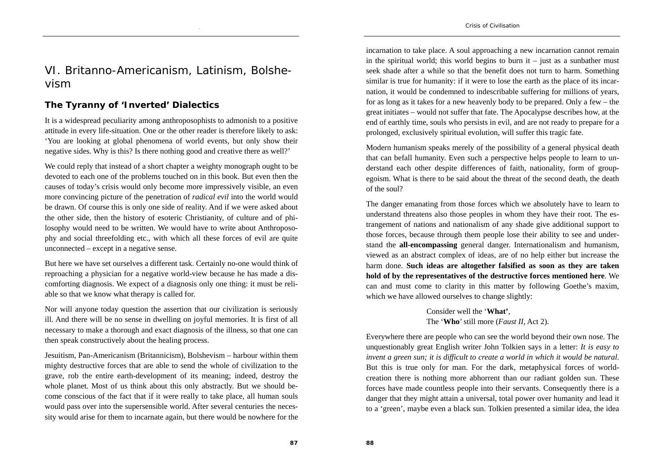## VI. Britanno-Americanism, Latinism, Bolshevism

## **The Tyranny of 'Inverted' Dialectics**

It is a widespread peculiarity among anthroposophists to admonish to a positive attitude in every life-situation. One or the other reader is therefore likely to ask: 'You are looking at global phenomena of world events, but only show their negative sides. Why is this? Is there nothing good and creative there as well?'

We could reply that instead of a short chapter a weighty monograph ought to be devoted to each one of the problems touched on in this book. But even then the causes of today's crisis would only become more impressively visible, an even more convincing picture of the penetration of *radical evil* into the world would be drawn. Of course this is only one side of reality. And if we were asked about the other side, then the history of esoteric Christianity, of culture and of philosophy would need to be written. We would have to write about Anthroposophy and social threefolding etc., with which all these forces of evil are quite unconnected – except in a negative sense.

But here we have set ourselves a different task. Certainly no-one would think of reproaching a physician for a negative world-view because he has made a discomforting diagnosis. We expect of a diagnosis only one thing: it must be reliable so that we know what therapy is called for.

Nor will anyone today question the assertion that our civilization is seriously ill. And there will be no sense in dwelling on joyful memories. It is first of all necessary to make a thorough and exact diagnosis of the illness, so that one can then speak constructively about the healing process.

Jesuitism, Pan-Americanism (Britannicism), Bolshevism – harbour within them mighty destructive forces that are able to send the whole of civilization to the grave, rob the entire earth-development of its meaning; indeed, destroy the whole planet. Most of us think about this only abstractly. But we should become conscious of the fact that if it were really to take place, all human souls would pass over into the supersensible world. After several centuries the necessity would arise for them to incarnate again, but there would be nowhere for the incarnation to take place. A soul approaching a new incarnation cannot remain in the spiritual world; this world begins to burn it  $-$  just as a sunbather must seek shade after a while so that the benefit does not turn to harm. Something similar is true for humanity: if it were to lose the earth as the place of its incarnation, it would be condemned to indescribable suffering for millions of years, for as long as it takes for a new heavenly body to be prepared. Only a few – the great initiates – would not suffer that fate. The Apocalypse describes how, at the end of earthly time, souls who persists in evil, and are not ready to prepare for a prolonged, exclusively spiritual evolution, will suffer this tragic fate.

Modern humanism speaks merely of the possibility of a general physical death that can befall humanity. Even such a perspective helps people to learn to understand each other despite differences of faith, nationality, form of groupegoism. What is there to be said about the threat of the second death, the death of the soul?

The danger emanating from those forces which we absolutely have to learn to understand threatens also those peoples in whom they have their root. The estrangement of nations and nationalism of any shade give additional support to those forces, because through them people lose their ability to see and understand the **all-encompassing** general danger. Internationalism and humanism, viewed as an abstract complex of ideas, are of no help either but increase the harm done. **Such ideas are altogether falsified as soon as they are taken hold of by the representatives of the destructive forces mentioned here**. We can and must come to clarity in this matter by following Goethe's maxim, which we have allowed ourselves to change slightly:

> Consider well the '**What'**, The '**Who**' still more (*Faust II*, Act 2).

Everywhere there are people who can see the world beyond their own nose. The unquestionably great English writer John Tolkien says in a letter: *It is easy to invent a green sun; it is difficult to create a world in which it would be natural*. But this is true only for man. For the dark, metaphysical forces of worldcreation there is nothing more abhorrent than our radiant golden sun. These forces have made countless people into their servants. Consequently there is a danger that they might attain a universal, total power over humanity and lead it to a 'green', maybe even a black sun. Tolkien presented a similar idea, the idea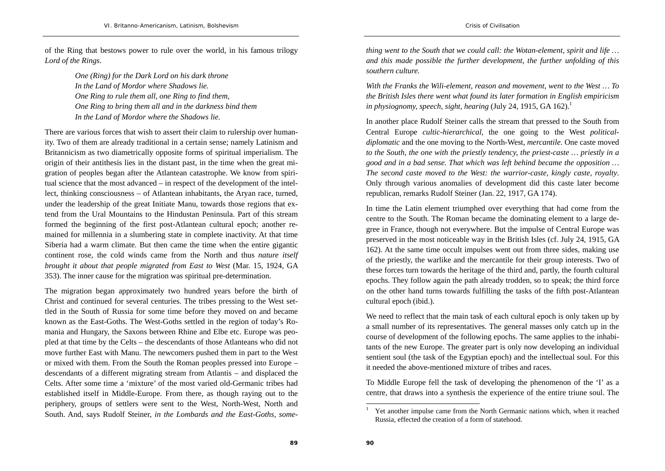of the Ring that bestows power to rule over the world, in his famous trilogy *Lord of the Rings*.

> *One (Ring) for the Dark Lord on his dark throne In the Land of Mordor where Shadows lie. One Ring to rule them all, one Ring to find them, One Ring to bring them all and in the darkness bind them In the Land of Mordor where the Shadows lie.*

There are various forces that wish to assert their claim to rulership over humanity. Two of them are already traditional in a certain sense; namely Latinism and Britannicism as two diametrically opposite forms of spiritual imperialism. The origin of their antithesis lies in the distant past, in the time when the great migration of peoples began after the Atlantean catastrophe. We know from spiritual science that the most advanced – in respect of the development of the intellect, thinking consciousness – of Atlantean inhabitants, the Aryan race, turned, under the leadership of the great Initiate Manu, towards those regions that extend from the Ural Mountains to the Hindustan Peninsula. Part of this stream formed the beginning of the first post-Atlantean cultural epoch; another remained for millennia in a slumbering state in complete inactivity. At that time Siberia had a warm climate. But then came the time when the entire gigantic continent rose, the cold winds came from the North and thus *nature itself brought it about that people migrated from East to West* (Mar. 15, 1924, GA 353). The inner cause for the migration was spiritual pre-determination.

The migration began approximately two hundred years before the birth of Christ and continued for several centuries. The tribes pressing to the West settled in the South of Russia for some time before they moved on and became known as the East-Goths. The West-Goths settled in the region of today's Romania and Hungary, the Saxons between Rhine and Elbe etc. Europe was peopled at that time by the Celts – the descendants of those Atlanteans who did not move further East with Manu. The newcomers pushed them in part to the West or mixed with them. From the South the Roman peoples pressed into Europe – descendants of a different migrating stream from Atlantis – and displaced the Celts. After some time a 'mixture' of the most varied old-Germanic tribes had established itself in Middle-Europe. From there, as though raying out to the periphery, groups of settlers were sent to the West, North-West, North and South. And, says Rudolf Steiner, *in the Lombards and the East-Goths, some-* *thing went to the South that we could call: the Wotan-element, spirit and life … and this made possible the further development, the further unfolding of this southern culture.* 

*With the Franks the Wili-element, reason and movement, went to the West … To the British Isles there went what found its later formation in English empiricism in physiognomy, speech, sight, hearing* (July 24, 1915, GA  $162$ ).<sup>1</sup>

In another place Rudolf Steiner calls the stream that pressed to the South from Central Europe *cultic-hierarchical*, the one going to the West *politicaldiplomatic* and the one moving to the North-West, *mercantile*. One caste moved *to the South, the one with the priestly tendency, the priest-caste … priestly in a good and in a bad sense. That which was left behind became the opposition … The second caste moved to the West: the warrior-caste, kingly caste, royalty*. Only through various anomalies of development did this caste later become republican, remarks Rudolf Steiner (Jan. 22, 1917, GA 174).

In time the Latin element triumphed over everything that had come from the centre to the South. The Roman became the dominating element to a large degree in France, though not everywhere. But the impulse of Central Europe was preserved in the most noticeable way in the British Isles (cf. July 24, 1915, GA 162). At the same time occult impulses went out from three sides, making use of the priestly, the warlike and the mercantile for their group interests. Two of these forces turn towards the heritage of the third and, partly, the fourth cultural epochs. They follow again the path already trodden, so to speak; the third force on the other hand turns towards fulfilling the tasks of the fifth post-Atlantean cultural epoch (ibid.).

We need to reflect that the main task of each cultural epoch is only taken up by a small number of its representatives. The general masses only catch up in the course of development of the following epochs. The same applies to the inhabitants of the new Europe. The greater part is only now developing an individual sentient soul (the task of the Egyptian epoch) and the intellectual soul. For this it needed the above-mentioned mixture of tribes and races.

To Middle Europe fell the task of developing the phenomenon of the 'I' as a centre, that draws into a synthesis the experience of the entire triune soul. The

<sup>1</sup> Yet another impulse came from the North Germanic nations which, when it reached Russia, effected the creation of a form of statehood.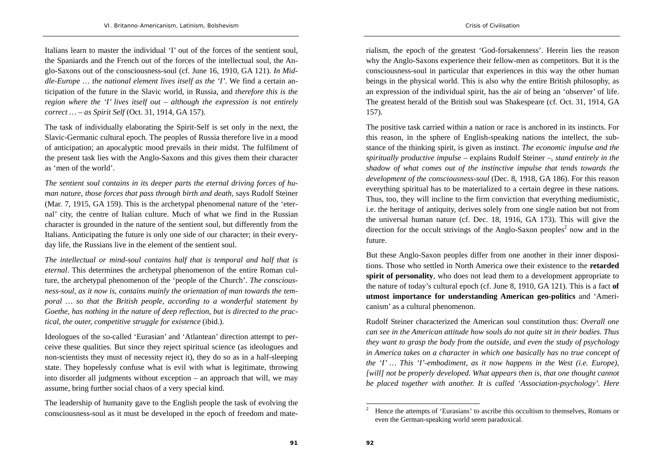Italians learn to master the individual 'I' out of the forces of the sentient soul, the Spaniards and the French out of the forces of the intellectual soul, the Anglo-Saxons out of the consciousness-soul (cf. June 16, 1910, GA 121). *In Middle-Europe … the national element lives itself as the 'I'*. We find a certain anticipation of the future in the Slavic world, in Russia, and *therefore this is the region where the 'I' lives itself out – although the expression is not entirely correct … – as Spirit Self* (Oct. 31, 1914, GA 157).

The task of individually elaborating the Spirit-Self is set only in the next, the Slavic-Germanic cultural epoch. The peoples of Russia therefore live in a mood of anticipation; an apocalyptic mood prevails in their midst. The fulfilment of the present task lies with the Anglo-Saxons and this gives them their character as 'men of the world'.

*The sentient soul contains in its deeper parts the eternal driving forces of human nature, those forces that pass through birth and death,* says Rudolf Steiner (Mar. 7, 1915, GA 159). This is the archetypal phenomenal nature of the 'eternal' city, the centre of Italian culture. Much of what we find in the Russian character is grounded in the nature of the sentient soul, but differently from the Italians. Anticipating the future is only one side of our character; in their everyday life, the Russians live in the element of the sentient soul.

*The intellectual or mind-soul contains half that is temporal and half that is eternal*. This determines the archetypal phenomenon of the entire Roman culture, the archetypal phenomenon of the 'people of the Church'. *The consciousness-soul, as it now is, contains mainly the orientation of man towards the temporal … so that the British people, according to a wonderful statement by Goethe, has nothing in the nature of deep reflection, but is directed to the practical, the outer, competitive struggle for existence* (ibid.).

Ideologues of the so-called 'Eurasian' and 'Atlantean' direction attempt to perceive these qualities. But since they reject spiritual science (as ideologues and non-scientists they must of necessity reject it), they do so as in a half-sleeping state. They hopelessly confuse what is evil with what is legitimate, throwing into disorder all judgments without exception – an approach that will, we may assume, bring further social chaos of a very special kind.

The leadership of humanity gave to the English people the task of evolving the consciousness-soul as it must be developed in the epoch of freedom and materialism, the epoch of the greatest 'God-forsakenness'. Herein lies the reason why the Anglo-Saxons experience their fellow-men as competitors. But it is the consciousness-soul in particular that experiences in this way the other human beings in the physical world. This is also why the entire British philosophy, as an expression of the individual spirit, has the air of being an 'observer' of life. The greatest herald of the British soul was Shakespeare (cf. Oct. 31, 1914, GA 157).

The positive task carried within a nation or race is anchored in its instincts. For this reason, in the sphere of English-speaking nations the intellect, the substance of the thinking spirit, is given as instinct. *The economic impulse and the spiritually productive impulse* – explains Rudolf Steiner –, *stand entirely in the shadow of what comes out of the instinctive impulse that tends towards the development of the consciousness-soul* (Dec. 8, 1918, GA 186). For this reason everything spiritual has to be materialized to a certain degree in these nations. Thus, too, they will incline to the firm conviction that everything mediumistic, i.e. the heritage of antiquity, derives solely from one single nation but not from the universal human nature (cf. Dec. 18, 1916, GA 173). This will give the direction for the occult strivings of the Anglo-Saxon peoples<sup>2</sup> now and in the future.

But these Anglo-Saxon peoples differ from one another in their inner dispositions. Those who settled in North America owe their existence to the **retarded spirit of personality**, who does not lead them to a development appropriate to the nature of today's cultural epoch (cf. June 8, 1910, GA 121). This is a fact **of utmost importance for understanding American geo-politics** and 'Americanism' as a cultural phenomenon.

Rudolf Steiner characterized the American soul constitution thus: *Overall one can see in the American attitude how souls do not quite sit in their bodies. Thus they want to grasp the body from the outside, and even the study of psychology in America takes on a character in which one basically has no true concept of the 'I' … This 'I'-embodiment, as it now happens in the West (i.e. Europe), [will] not be properly developed. What appears then is, that one thought cannot be placed together with another. It is called 'Association-psychology'. Here* 

<sup>2</sup> Hence the attempts of 'Eurasians' to ascribe this occultism to themselves, Romans or even the German-speaking world seem paradoxical.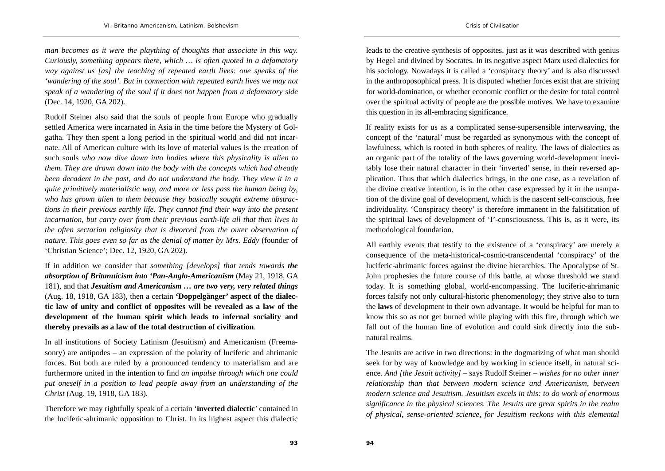*man becomes as it were the plaything of thoughts that associate in this way. Curiously, something appears there, which … is often quoted in a defamatory way against us [as] the teaching of repeated earth lives: one speaks of the 'wandering of the soul'. But in connection with repeated earth lives we may not speak of a wandering of the soul if it does not happen from a defamatory side* (Dec. 14, 1920, GA 202).

Rudolf Steiner also said that the souls of people from Europe who gradually settled America were incarnated in Asia in the time before the Mystery of Golgatha. They then spent a long period in the spiritual world and did not incarnate. All of American culture with its love of material values is the creation of such souls *who now dive down into bodies where this physicality is alien to them. They are drawn down into the body with the concepts which had already been decadent in the past, and do not understand the body. They view it in a quite primitively materialistic way, and more or less pass the human being by, who has grown alien to them because they basically sought extreme abstractions in their previous earthly life. They cannot find their way into the present incarnation, but carry over from their previous earth-life all that then lives in the often sectarian religiosity that is divorced from the outer observation of nature. This goes even so far as the denial of matter by Mrs. Eddy* (founder of 'Christian Science'; Dec. 12, 1920, GA 202).

If in addition we consider that *something [develops] that tends towards the absorption of Britannicism into 'Pan-Anglo-Americanism* (May 21, 1918, GA 181), and that *Jesuitism and Americanism … are two very, very related things* (Aug. 18, 1918, GA 183), then a certain **'Doppelgänger' aspect of the dialectic law of unity and conflict of opposites will be revealed as a law of the development of the human spirit which leads to infernal sociality and thereby prevails as a law of the total destruction of civilization**.

In all institutions of Society Latinism (Jesuitism) and Americanism (Freemasonry) are antipodes – an expression of the polarity of luciferic and ahrimanic forces. But both are ruled by a pronounced tendency to materialism and are furthermore united in the intention to find *an impulse through which one could put oneself in a position to lead people away from an understanding of the Christ* (Aug. 19, 1918, GA 183).

Therefore we may rightfully speak of a certain '**inverted dialectic**' contained in the luciferic-ahrimanic opposition to Christ. In its highest aspect this dialectic

leads to the creative synthesis of opposites, just as it was described with genius by Hegel and divined by Socrates. In its negative aspect Marx used dialectics for his sociology. Nowadays it is called a 'conspiracy theory' and is also discussed in the anthroposophical press. It is disputed whether forces exist that are striving for world-domination, or whether economic conflict or the desire for total control over the spiritual activity of people are the possible motives. We have to examine this question in its all-embracing significance.

If reality exists for us as a complicated sense-supersensible interweaving, the concept of the 'natural' must be regarded as synonymous with the concept of lawfulness, which is rooted in both spheres of reality. The laws of dialectics as an organic part of the totality of the laws governing world-development inevitably lose their natural character in their 'inverted' sense, in their reversed application. Thus that which dialectics brings, in the one case, as a revelation of the divine creative intention, is in the other case expressed by it in the usurpation of the divine goal of development, which is the nascent self-conscious, free individuality. 'Conspiracy theory' is therefore immanent in the falsification of the spiritual laws of development of 'I'-consciousness. This is, as it were, its methodological foundation.

All earthly events that testify to the existence of a 'conspiracy' are merely a consequence of the meta-historical-cosmic-transcendental 'conspiracy' of the luciferic-ahrimanic forces against the divine hierarchies. The Apocalypse of St. John prophesies the future course of this battle, at whose threshold we stand today. It is something global, world-encompassing. The luciferic-ahrimanic forces falsify not only cultural-historic phenomenology; they strive also to turn the **laws** of development to their own advantage. It would be helpful for man to know this so as not get burned while playing with this fire, through which we fall out of the human line of evolution and could sink directly into the subnatural realms.

The Jesuits are active in two directions: in the dogmatizing of what man should seek for by way of knowledge and by working in science itself, in natural science. *And [the Jesuit activity]* – says Rudolf Steiner – *wishes for no other inner relationship than that between modern science and Americanism, between modern science and Jesuitism. Jesuitism excels in this: to do work of enormous significance in the physical sciences. The Jesuits are great spirits in the realm of physical, sense-oriented science, for Jesuitism reckons with this elemental*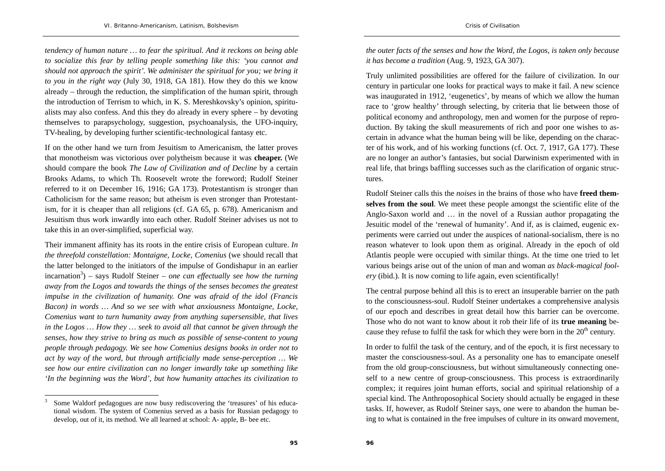*tendency of human nature … to fear the spiritual. And it reckons on being able to socialize this fear by telling people something like this: 'you cannot and should not approach the spirit'. We administer the spiritual for you; we bring it to you in the right way* (July 30, 1918, GA 181). How they do this we know already – through the reduction, the simplification of the human spirit, through the introduction of Terrism to which, in K. S. Mereshkovsky's opinion, spiritualists may also confess. And this they do already in every sphere – by devoting themselves to parapsychology, suggestion, psychoanalysis, the UFO-inquiry, TV-healing, by developing further scientific-technological fantasy etc.

If on the other hand we turn from Jesuitism to Americanism, the latter proves that monotheism was victorious over polytheism because it was **cheaper.** (We should compare the book *The Law of Civilization and of Decline* by a certain Brooks Adams, to which Th. Roosevelt wrote the foreword; Rudolf Steiner referred to it on December 16, 1916; GA 173). Protestantism is stronger than Catholicism for the same reason; but atheism is even stronger than Protestantism, for it is cheaper than all religions (cf. GA 65, p. 678). Americanism and Jesuitism thus work inwardly into each other. Rudolf Steiner advises us not to take this in an over-simplified, superficial way.

Their immanent affinity has its roots in the entire crisis of European culture. *In the threefold constellation: Montaigne, Locke, Comenius* (we should recall that the latter belonged to the initiators of the impulse of Gondishapur in an earlier  $incarnation<sup>3</sup>$ ) – says Rudolf Steiner – *one can effectually see how the turning away from the Logos and towards the things of the senses becomes the greatest impulse in the civilization of humanity. One was afraid of the idol (Francis Bacon) in words … And so we see with what anxiousness Montaigne, Locke, Comenius want to turn humanity away from anything supersensible, that lives in the Logos … How they … seek to avoid all that cannot be given through the senses, how they strive to bring as much as possible of sense-content to young people through pedagogy. We see how Comenius designs books in order not to act by way of the word, but through artificially made sense-perception … We see how our entire civilization can no longer inwardly take up something like 'In the beginning was the Word', but how humanity attaches its civilization to* 

*the outer facts of the senses and how the Word, the Logos, is taken only because it has become a tradition* (Aug. 9, 1923, GA 307).

Truly unlimited possibilities are offered for the failure of civilization. In our century in particular one looks for practical ways to make it fail. A new science was inaugurated in 1912, 'eugenetics', by means of which we allow the human race to 'grow healthy' through selecting, by criteria that lie between those of political economy and anthropology, men and women for the purpose of reproduction. By taking the skull measurements of rich and poor one wishes to ascertain in advance what the human being will be like, depending on the character of his work, and of his working functions (cf. Oct. 7, 1917, GA 177). These are no longer an author's fantasies, but social Darwinism experimented with in real life, that brings baffling successes such as the clarification of organic structures.

Rudolf Steiner calls this the *noises* in the brains of those who have **freed themselves from the soul**. We meet these people amongst the scientific elite of the Anglo-Saxon world and … in the novel of a Russian author propagating the Jesuitic model of the 'renewal of humanity'. And if, as is claimed, eugenic experiments were carried out under the auspices of national-socialism, there is no reason whatever to look upon them as original. Already in the epoch of old Atlantis people were occupied with similar things. At the time one tried to let various beings arise out of the union of man and woman *as black-magical foolery* (ibid.). It is now coming to life again, even scientifically!

The central purpose behind all this is to erect an insuperable barrier on the path to the consciousness-soul. Rudolf Steiner undertakes a comprehensive analysis of our epoch and describes in great detail how this barrier can be overcome. Those who do not want to know about it rob their life of its **true meaning** because they refuse to fulfil the task for which they were born in the  $20<sup>th</sup>$  century.

In order to fulfil the task of the century, and of the epoch, it is first necessary to master the consciousness-soul. As a personality one has to emancipate oneself from the old group-consciousness, but without simultaneously connecting oneself to a new centre of group-consciousness. This process is extraordinarily complex; it requires joint human efforts, social and spiritual relationship of a special kind. The Anthroposophical Society should actually be engaged in these tasks. If, however, as Rudolf Steiner says, one were to abandon the human being to what is contained in the free impulses of culture in its onward movement,

<sup>3</sup> Some Waldorf pedagogues are now busy rediscovering the 'treasures' of his educational wisdom. The system of Comenius served as a basis for Russian pedagogy to develop, out of it, its method. We all learned at school: A- apple, B- bee etc.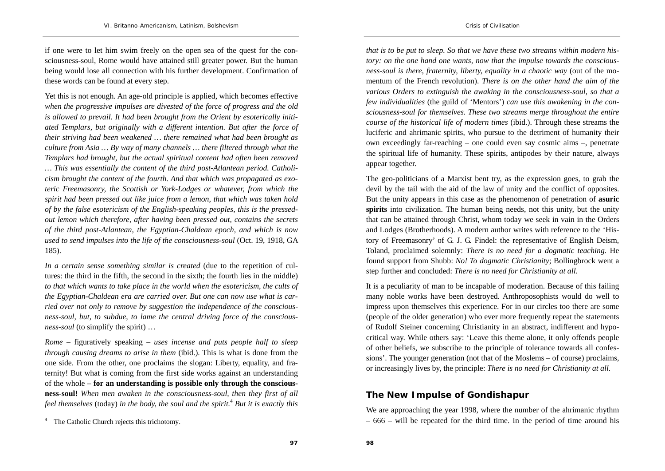if one were to let him swim freely on the open sea of the quest for the consciousness-soul, Rome would have attained still greater power. But the human being would lose all connection with his further development. Confirmation of these words can be found at every step.

Yet this is not enough. An age-old principle is applied, which becomes effective *when the progressive impulses are divested of the force of progress and the old is allowed to prevail. It had been brought from the Orient by esoterically initiated Templars, but originally with a different intention. But after the force of their striving had been weakened … there remained what had been brought as culture from Asia … By way of many channels … there filtered through what the Templars had brought, but the actual spiritual content had often been removed … This was essentially the content of the third post-Atlantean period. Catholicism brought the content of the fourth. And that which was propagated as exoteric Freemasonry, the Scottish or York-Lodges or whatever, from which the spirit had been pressed out like juice from a lemon, that which was taken hold of by the false esotericism of the English-speaking peoples, this is the pressedout lemon which therefore, after having been pressed out, contains the secrets of the third post-Atlantean, the Egyptian-Chaldean epoch, and which is now used to send impulses into the life of the consciousness-soul* (Oct. 19, 1918, GA 185).

*In a certain sense something similar is created* (due to the repetition of cultures: the third in the fifth, the second in the sixth; the fourth lies in the middle) *to that which wants to take place in the world when the esotericism, the cults of the Egyptian-Chaldean era are carried over. But one can now use what is carried over not only to remove by suggestion the independence of the consciousness-soul, but, to subdue, to lame the central driving force of the consciousness-soul* (to simplify the spirit) …

*Rome –* figuratively speaking *– uses incense and puts people half to sleep through causing dreams to arise in them* (ibid.). This is what is done from the one side. From the other, one proclaims the slogan: Liberty, equality, and fraternity! But what is coming from the first side works against an understanding of the whole – **for an understanding is possible only through the consciousness-soul!** *When men awaken in the consciousness-soul, then they first of all feel themselves* (today) *in the body, the soul and the spirit.*<sup>4</sup> *But it is exactly this*  *that is to be put to sleep. So that we have these two streams within modern history: on the one hand one wants, now that the impulse towards the consciousness-soul is there, fraternity, liberty, equality in a chaotic way* (out of the momentum of the French revolution). *There is on the other hand the aim of the various Orders to extinguish the awaking in the consciousness-soul, so that a few individualities* (the guild of 'Mentors') *can use this awakening in the consciousness-soul for themselves. These two streams merge throughout the entire course of the historical life of modern times* (ibid.). Through these streams the luciferic and ahrimanic spirits, who pursue to the detriment of humanity their own exceedingly far-reaching – one could even say cosmic aims –, penetrate the spiritual life of humanity. These spirits, antipodes by their nature, always appear together.

The geo-politicians of a Marxist bent try, as the expression goes, to grab the devil by the tail with the aid of the law of unity and the conflict of opposites. But the unity appears in this case as the phenomenon of penetration of **asuric spirits** into civilization. The human being needs, not this unity, but the unity that can be attained through Christ, whom today we seek in vain in the Orders and Lodges (Brotherhoods). A modern author writes with reference to the 'History of Freemasonry' of G. J. G. Findel: the representative of English Deism, Toland, proclaimed solemnly: *There is no need for a dogmatic teaching*. He found support from Shubb: *No! To dogmatic Christianity*; Bollingbrock went a step further and concluded: *There is no need for Christianity at all*.

It is a peculiarity of man to be incapable of moderation. Because of this failing many noble works have been destroyed. Anthroposophists would do well to impress upon themselves this experience. For in our circles too there are some (people of the older generation) who ever more frequently repeat the statements of Rudolf Steiner concerning Christianity in an abstract, indifferent and hypocritical way. While others say: 'Leave this theme alone, it only offends people of other beliefs, we subscribe to the principle of tolerance towards all confessions'. The younger generation (not that of the Moslems – of course) proclaims, or increasingly lives by, the principle: *There is no need for Christianity at all*.

## **The New Impulse of Gondishapur**

We are approaching the year 1998, where the number of the ahrimanic rhythm – 666 – will be repeated for the third time. In the period of time around his

The Catholic Church rejects this trichotomy.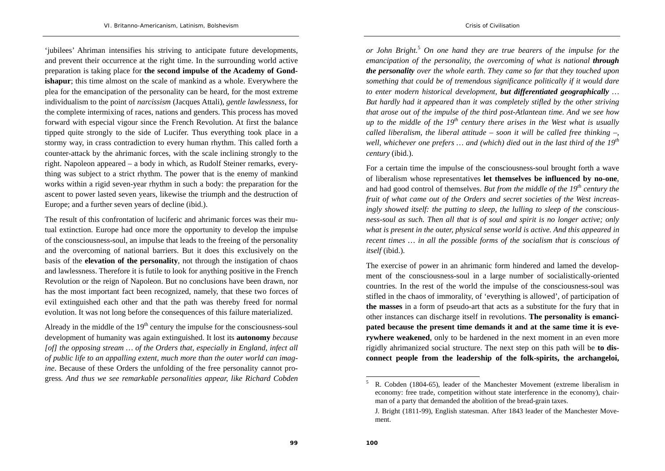'jubilees' Ahriman intensifies his striving to anticipate future developments, and prevent their occurrence at the right time. In the surrounding world active preparation is taking place for **the second impulse of the Academy of Gondishapur**; this time almost on the scale of mankind as a whole. Everywhere the plea for the emancipation of the personality can be heard, for the most extreme individualism to the point of *narcissism* (Jacques Attali), *gentle lawlessness*, for the complete intermixing of races, nations and genders. This process has moved forward with especial vigour since the French Revolution. At first the balance tipped quite strongly to the side of Lucifer. Thus everything took place in a stormy way, in crass contradiction to every human rhythm. This called forth a counter-attack by the ahrimanic forces, with the scale inclining strongly to the right. Napoleon appeared – a body in which, as Rudolf Steiner remarks, everything was subject to a strict rhythm. The power that is the enemy of mankind works within a rigid seven-year rhythm in such a body: the preparation for the ascent to power lasted seven years, likewise the triumph and the destruction of Europe; and a further seven years of decline (ibid.).

The result of this confrontation of luciferic and ahrimanic forces was their mutual extinction. Europe had once more the opportunity to develop the impulse of the consciousness-soul, an impulse that leads to the freeing of the personality and the overcoming of national barriers. But it does this exclusively on the basis of the **elevation of the personality**, not through the instigation of chaos and lawlessness. Therefore it is futile to look for anything positive in the French Revolution or the reign of Napoleon. But no conclusions have been drawn, nor has the most important fact been recognized, namely, that these two forces of evil extinguished each other and that the path was thereby freed for normal evolution. It was not long before the consequences of this failure materialized.

Already in the middle of the  $19<sup>th</sup>$  century the impulse for the consciousness-soul development of humanity was again extinguished. It lost its **autonomy** *because [of] the opposing stream … of the Orders that, especially in England, infect all of public life to an appalling extent, much more than the outer world can imagine*. Because of these Orders the unfolding of the free personality cannot progress*. And thus we see remarkable personalities appear, like Richard Cobden* 

*or John Bright.*<sup>5</sup> *On one hand they are true bearers of the impulse for the emancipation of the personality, the overcoming of what is national <i>through the personality over the whole earth. They came so far that they touched upon something that could be of tremendous significance politically if it would dare to enter modern historical development, but differentiated geographically … But hardly had it appeared than it was completely stifled by the other striving that arose out of the impulse of the third post-Atlantean time. And we see how up to the middle of the 19th century there arises in the West what is usually called liberalism, the liberal attitude – soon it will be called free thinking –, well, whichever one prefers … and (which) died out in the last third of the 19th century* (ibid.).

For a certain time the impulse of the consciousness-soul brought forth a wave of liberalism whose representatives **let themselves be influenced by no-one**, and had good control of themselves. *But from the middle of the 19th century the fruit of what came out of the Orders and secret societies of the West increasingly showed itself: the putting to sleep, the lulling to sleep of the consciousness-soul as such. Then all that is of soul and spirit is no longer active; only what is present in the outer, physical sense world is active. And this appeared in recent times … in all the possible forms of the socialism that is conscious of itself* (ibid.).

The exercise of power in an ahrimanic form hindered and lamed the development of the consciousness-soul in a large number of socialistically-oriented countries. In the rest of the world the impulse of the consciousness-soul was stifled in the chaos of immorality, of 'everything is allowed', of participation of **the masses** in a form of pseudo-art that acts as a substitute for the fury that in other instances can discharge itself in revolutions. **The personality is emancipated because the present time demands it and at the same time it is everywhere weakened**, only to be hardened in the next moment in an even more rigidly ahrimanized social structure. The next step on this path will be **to disconnect people from the leadership of the folk-spirits, the archangeloi,** 

<sup>5</sup> R. Cobden (1804-65), leader of the Manchester Movement (extreme liberalism in economy: free trade, competition without state interference in the economy), chairman of a party that demanded the abolition of the bread-grain taxes.

J. Bright (1811-99), English statesman. After 1843 leader of the Manchester Movement.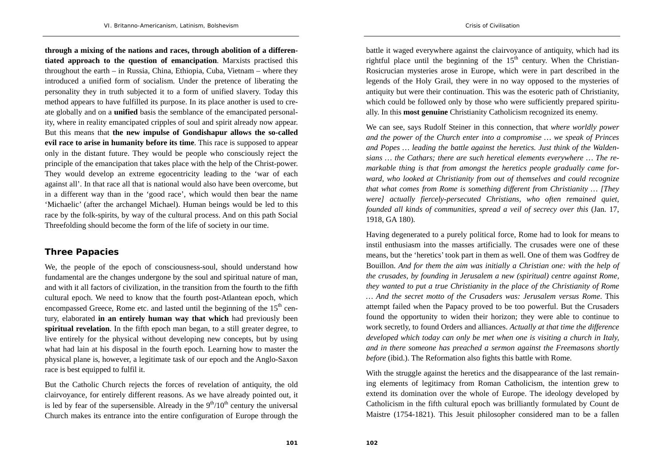**through a mixing of the nations and races, through abolition of a differentiated approach to the question of emancipation**. Marxists practised this throughout the earth – in Russia, China, Ethiopia, Cuba, Vietnam – where they introduced a unified form of socialism. Under the pretence of liberating the personality they in truth subjected it to a form of unified slavery. Today this method appears to have fulfilled its purpose. In its place another is used to create globally and on a **unified** basis the semblance of the emancipated personality, where in reality emancipated cripples of soul and spirit already now appear. But this means that **the new impulse of Gondishapur allows the so-called evil race to arise in humanity before its time**. This race is supposed to appear only in the distant future. They would be people who consciously reject the principle of the emancipation that takes place with the help of the Christ-power. They would develop an extreme egocentricity leading to the 'war of each against all'. In that race all that is national would also have been overcome, but in a different way than in the 'good race', which would then bear the name 'Michaelic' (after the archangel Michael). Human beings would be led to this race by the folk-spirits, by way of the cultural process. And on this path Social Threefolding should become the form of the life of society in our time.

## **Three Papacies**

We, the people of the epoch of consciousness-soul, should understand how fundamental are the changes undergone by the soul and spiritual nature of man, and with it all factors of civilization, in the transition from the fourth to the fifth cultural epoch. We need to know that the fourth post-Atlantean epoch, which encompassed Greece, Rome etc. and lasted until the beginning of the  $15<sup>th</sup>$  century, elaborated **in an entirely human way that which** had previously been **spiritual revelation**. In the fifth epoch man began, to a still greater degree, to live entirely for the physical without developing new concepts, but by using what had lain at his disposal in the fourth epoch. Learning how to master the physical plane is, however, a legitimate task of our epoch and the Anglo-Saxon race is best equipped to fulfil it.

But the Catholic Church rejects the forces of revelation of antiquity, the old clairvoyance, for entirely different reasons. As we have already pointed out, it is led by fear of the supersensible. Already in the  $9<sup>th</sup>/10<sup>th</sup>$  century the universal Church makes its entrance into the entire configuration of Europe through the

battle it waged everywhere against the clairvoyance of antiquity, which had its rightful place until the beginning of the  $15<sup>th</sup>$  century. When the Christian-Rosicrucian mysteries arose in Europe, which were in part described in the legends of the Holy Grail, they were in no way opposed to the mysteries of antiquity but were their continuation. This was the esoteric path of Christianity, which could be followed only by those who were sufficiently prepared spiritually. In this **most genuine** Christianity Catholicism recognized its enemy.

We can see, says Rudolf Steiner in this connection, that *where worldly power and the power of the Church enter into a compromise … we speak of Princes and Popes … leading the battle against the heretics. Just think of the Waldensians … the Cathars; there are such heretical elements everywhere … The remarkable thing is that from amongst the heretics people gradually came forward, who looked at Christianity from out of themselves and could recognize that what comes from Rome is something different from Christianity … [They were] actually fiercely-persecuted Christians, who often remained quiet, founded all kinds of communities, spread a veil of secrecy over this* (Jan. 17, 1918, GA 180).

Having degenerated to a purely political force, Rome had to look for means to instil enthusiasm into the masses artificially. The crusades were one of these means, but the 'heretics' took part in them as well. One of them was Godfrey de Bouillon. *And for them the aim was initially a Christian one: with the help of the crusades, by founding in Jerusalem a new (spiritual) centre against Rome, they wanted to put a true Christianity in the place of the Christianity of Rome … And the secret motto of the Crusaders was: Jerusalem versus Rome*. This attempt failed when the Papacy proved to be too powerful. But the Crusaders found the opportunity to widen their horizon; they were able to continue to work secretly, to found Orders and alliances. *Actually at that time the difference developed which today can only be met when one is visiting a church in Italy, and in there someone has preached a sermon against the Freemasons shortly before* (ibid.). The Reformation also fights this battle with Rome.

With the struggle against the heretics and the disappearance of the last remaining elements of legitimacy from Roman Catholicism, the intention grew to extend its domination over the whole of Europe. The ideology developed by Catholicism in the fifth cultural epoch was brilliantly formulated by Count de Maistre (1754-1821). This Jesuit philosopher considered man to be a fallen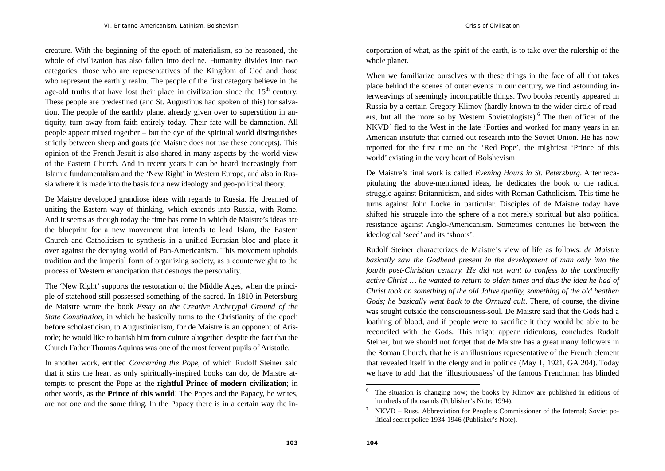creature. With the beginning of the epoch of materialism, so he reasoned, the whole of civilization has also fallen into decline. Humanity divides into two categories: those who are representatives of the Kingdom of God and those who represent the earthly realm. The people of the first category believe in the age-old truths that have lost their place in civilization since the  $15<sup>th</sup>$  century. These people are predestined (and St. Augustinus had spoken of this) for salvation. The people of the earthly plane, already given over to superstition in antiquity, turn away from faith entirely today. Their fate will be damnation. All people appear mixed together – but the eye of the spiritual world distinguishes strictly between sheep and goats (de Maistre does not use these concepts). This opinion of the French Jesuit is also shared in many aspects by the world-view of the Eastern Church. And in recent years it can be heard increasingly from Islamic fundamentalism and the 'New Right' in Western Europe, and also in Russia where it is made into the basis for a new ideology and geo-political theory.

De Maistre developed grandiose ideas with regards to Russia. He dreamed of uniting the Eastern way of thinking, which extends into Russia, with Rome. And it seems as though today the time has come in which de Maistre's ideas are the blueprint for a new movement that intends to lead Islam, the Eastern Church and Catholicism to synthesis in a unified Eurasian bloc and place it over against the decaying world of Pan-Americanism. This movement upholds tradition and the imperial form of organizing society, as a counterweight to the process of Western emancipation that destroys the personality.

The 'New Right' supports the restoration of the Middle Ages, when the principle of statehood still possessed something of the sacred. In 1810 in Petersburg de Maistre wrote the book *Essay on the Creative Archetypal Ground of the State Constitution*, in which he basically turns to the Christianity of the epoch before scholasticism, to Augustinianism, for de Maistre is an opponent of Aristotle; he would like to banish him from culture altogether, despite the fact that the Church Father Thomas Aquinas was one of the most fervent pupils of Aristotle.

In another work, entitled *Concerning the Pope*, of which Rudolf Steiner said that it stirs the heart as only spiritually-inspired books can do, de Maistre attempts to present the Pope as the **rightful Prince of modern civilization**; in other words, as the **Prince of this world**! The Popes and the Papacy, he writes, are not one and the same thing. In the Papacy there is in a certain way the incorporation of what, as the spirit of the earth, is to take over the rulership of the whole planet.

When we familiarize ourselves with these things in the face of all that takes place behind the scenes of outer events in our century, we find astounding interweavings of seemingly incompatible things. Two books recently appeared in Russia by a certain Gregory Klimov (hardly known to the wider circle of readers, but all the more so by Western Sovietologists).<sup>6</sup> The then officer of the  $NKVD<sup>7</sup>$  fled to the West in the late 'Forties and worked for many years in an American institute that carried out research into the Soviet Union. He has now reported for the first time on the 'Red Pope', the mightiest 'Prince of this world' existing in the very heart of Bolshevism!

De Maistre's final work is called *Evening Hours in St. Petersburg*. After recapitulating the above-mentioned ideas, he dedicates the book to the radical struggle against Britannicism, and sides with Roman Catholicism. This time he turns against John Locke in particular. Disciples of de Maistre today have shifted his struggle into the sphere of a not merely spiritual but also political resistance against Anglo-Americanism. Sometimes centuries lie between the ideological 'seed' and its 'shoots'.

Rudolf Steiner characterizes de Maistre's view of life as follows: *de Maistre basically saw the Godhead present in the development of man only into the fourth post-Christian century. He did not want to confess to the continually active Christ … he wanted to return to olden times and thus the idea he had of Christ took on something of the old Jahve quality, something of the old heathen*  Gods; he basically went back to the Ormuzd cult. There, of course, the divine was sought outside the consciousness-soul. De Maistre said that the Gods had a loathing of blood, and if people were to sacrifice it they would be able to be reconciled with the Gods. This might appear ridiculous, concludes Rudolf Steiner, but we should not forget that de Maistre has a great many followers in the Roman Church, that he is an illustrious representative of the French element that revealed itself in the clergy and in politics (May 1, 1921, GA 204). Today we have to add that the 'illustriousness' of the famous Frenchman has blinded

The situation is changing now; the books by Klimov are published in editions of hundreds of thousands (Publisher's Note; 1994).

NKVD – Russ. Abbreviation for People's Commissioner of the Internal; Soviet political secret police 1934-1946 (Publisher's Note).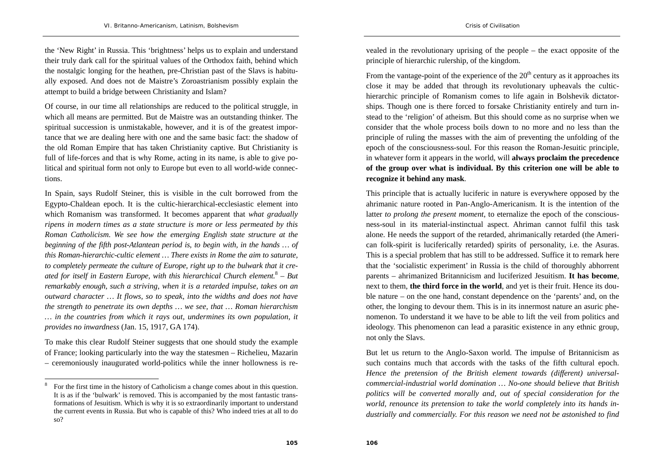the 'New Right' in Russia. This 'brightness' helps us to explain and understand their truly dark call for the spiritual values of the Orthodox faith, behind which the nostalgic longing for the heathen, pre-Christian past of the Slavs is habitually exposed. And does not de Maistre's Zoroastrianism possibly explain the attempt to build a bridge between Christianity and Islam?

Of course, in our time all relationships are reduced to the political struggle, in which all means are permitted. But de Maistre was an outstanding thinker. The spiritual succession is unmistakable, however, and it is of the greatest importance that we are dealing here with one and the same basic fact: the shadow of the old Roman Empire that has taken Christianity captive. But Christianity is full of life-forces and that is why Rome, acting in its name, is able to give political and spiritual form not only to Europe but even to all world-wide connections.

In Spain, says Rudolf Steiner, this is visible in the cult borrowed from the Egypto-Chaldean epoch. It is the cultic-hierarchical-ecclesiastic element into which Romanism was transformed. It becomes apparent that *what gradually ripens in modern times as a state structure is more or less permeated by this Roman Catholicism. We see how the emerging English state structure at the beginning of the fifth post-Atlantean period is, to begin with, in the hands ... of this Roman-hierarchic-cultic element … There exists in Rome the aim to saturate, to completely permeate the culture of Europe, right up to the bulwark that it created for itself in Eastern Europe, with this hierarchical Church element.*<sup>8</sup> *– But remarkably enough, such a striving, when it is a retarded impulse, takes on an outward character … It flows, so to speak, into the widths and does not have the strength to penetrate its own depths … we see, that … Roman hierarchism … in the countries from which it rays out, undermines its own population, it provides no inwardness* (Jan. 15, 1917, GA 174).

To make this clear Rudolf Steiner suggests that one should study the example of France; looking particularly into the way the statesmen – Richelieu, Mazarin – ceremoniously inaugurated world-politics while the inner hollowness is revealed in the revolutionary uprising of the people – the exact opposite of the principle of hierarchic rulership, of the kingdom.

From the vantage-point of the experience of the  $20<sup>th</sup>$  century as it approaches its close it may be added that through its revolutionary upheavals the cultichierarchic principle of Romanism comes to life again in Bolshevik dictatorships. Though one is there forced to forsake Christianity entirely and turn instead to the 'religion' of atheism. But this should come as no surprise when we consider that the whole process boils down to no more and no less than the principle of ruling the masses with the aim of preventing the unfolding of the epoch of the consciousness-soul. For this reason the Roman-Jesuitic principle, in whatever form it appears in the world, will **always proclaim the precedence of the group over what is individual. By this criterion one will be able to recognize it behind any mask**.

This principle that is actually luciferic in nature is everywhere opposed by the ahrimanic nature rooted in Pan-Anglo-Americanism. It is the intention of the latter *to prolong the present moment*, to eternalize the epoch of the consciousness-soul in its material-instinctual aspect. Ahriman cannot fulfil this task alone. He needs the support of the retarded, ahrimanically retarded (the American folk-spirit is luciferically retarded) spirits of personality, i.e. the Asuras. This is a special problem that has still to be addressed. Suffice it to remark here that the 'socialistic experiment' in Russia is the child of thoroughly abhorrent parents – ahrimanized Britannicism and luciferized Jesuitism. **It has become**, next to them, **the third force in the world**, and yet is their fruit. Hence its double nature – on the one hand, constant dependence on the 'parents' and, on the other, the longing to devour them. This is in its innermost nature an asuric phenomenon. To understand it we have to be able to lift the veil from politics and ideology. This phenomenon can lead a parasitic existence in any ethnic group, not only the Slavs.

But let us return to the Anglo-Saxon world. The impulse of Britannicism as such contains much that accords with the tasks of the fifth cultural epoch. *Hence the pretension of the British element towards (different) universalcommercial-industrial world domination … No-one should believe that British politics will be converted morally and, out of special consideration for the world, renounce its pretension to take the world completely into its hands industrially and commercially. For this reason we need not be astonished to find* 

<sup>8</sup> For the first time in the history of Catholicism a change comes about in this question. It is as if the 'bulwark' is removed. This is accompanied by the most fantastic transformations of Jesuitism. Which is why it is so extraordinarily important to understand the current events in Russia. But who is capable of this? Who indeed tries at all to do so?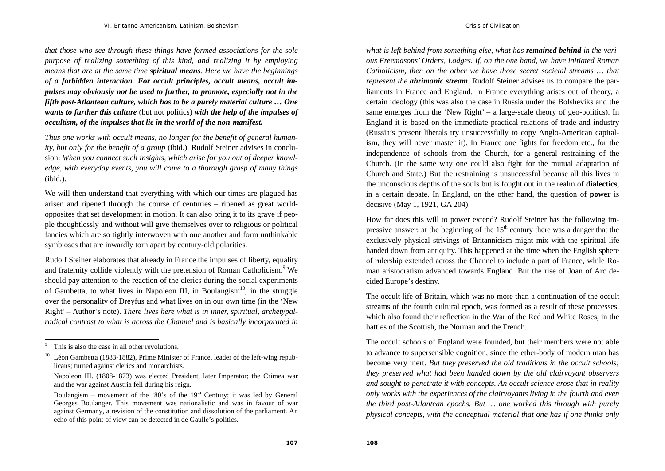*that those who see through these things have formed associations for the sole purpose of realizing something of this kind, and realizing it by employing means that are at the same time spiritual means. Here we have the beginnings of a forbidden interaction. For occult principles, occult means, occult impulses may obviously not be used to further, to promote, especially not in the fifth post-Atlantean culture, which has to be a purely material culture … One wants to further this culture* (but not politics) *with the help of the impulses of occultism, of the impulses that lie in the world of the non-manifest.*

*Thus one works with occult means, no longer for the benefit of general humanity, but only for the benefit of a group* (ibid.). Rudolf Steiner advises in conclusion: *When you connect such insights, which arise for you out of deeper knowledge, with everyday events, you will come to a thorough grasp of many things*  (ibid.).

We will then understand that everything with which our times are plagued has arisen and ripened through the course of centuries – ripened as great worldopposites that set development in motion. It can also bring it to its grave if people thoughtlessly and without will give themselves over to religious or political fancies which are so tightly interwoven with one another and form unthinkable symbioses that are inwardly torn apart by century-old polarities.

Rudolf Steiner elaborates that already in France the impulses of liberty, equality and fraternity collide violently with the pretension of Roman Catholicism.<sup>9</sup> We should pay attention to the reaction of the clerics during the social experiments of Gambetta, to what lives in Napoleon III, in Boulangism<sup>10</sup>, in the struggle over the personality of Dreyfus and what lives on in our own time (in the 'New Right' – Author's note). *There lives here what is in inner, spiritual, archetypalradical contrast to what is across the Channel and is basically incorporated in* 

*what is left behind from something else, what has remained behind in the various Freemasons' Orders, Lodges. If, on the one hand, we have initiated Roman Catholicism, then on the other we have those secret societal streams … that represent the ahrimanic stream*. Rudolf Steiner advises us to compare the parliaments in France and England. In France everything arises out of theory, a certain ideology (this was also the case in Russia under the Bolsheviks and the same emerges from the 'New Right' – a large-scale theory of geo-politics). In England it is based on the immediate practical relations of trade and industry (Russia's present liberals try unsuccessfully to copy Anglo-American capitalism, they will never master it). In France one fights for freedom etc., for the independence of schools from the Church, for a general restraining of the Church. (In the same way one could also fight for the mutual adaptation of Church and State.) But the restraining is unsuccessful because all this lives in the unconscious depths of the souls but is fought out in the realm of **dialectics**, in a certain debate. In England, on the other hand, the question of **power** is decisive (May 1, 1921, GA 204).

How far does this will to power extend? Rudolf Steiner has the following impressive answer: at the beginning of the  $15<sup>th</sup>$  century there was a danger that the exclusively physical strivings of Britannicism might mix with the spiritual life handed down from antiquity. This happened at the time when the English sphere of rulership extended across the Channel to include a part of France, while Roman aristocratism advanced towards England. But the rise of Joan of Arc decided Europe's destiny.

The occult life of Britain, which was no more than a continuation of the occult streams of the fourth cultural epoch, was formed as a result of these processes, which also found their reflection in the War of the Red and White Roses, in the battles of the Scottish, the Norman and the French.

The occult schools of England were founded, but their members were not able to advance to supersensible cognition, since the ether-body of modern man has become very inert. *But they preserved the old traditions in the occult schools; they preserved what had been handed down by the old clairvoyant observers and sought to penetrate it with concepts. An occult science arose that in reality only works with the experiences of the clairvoyants living in the fourth and even the third post-Atlantean epochs. But … one worked this through with purely physical concepts, with the conceptual material that one has if one thinks only* 

<sup>&</sup>lt;sup>9</sup> This is also the case in all other revolutions.

Léon Gambetta (1883-1882), Prime Minister of France, leader of the left-wing republicans; turned against clerics and monarchists.

Napoleon III. (1808-1873) was elected President, later Imperator; the Crimea war and the war against Austria fell during his reign.

Boulangism – movement of the '80's of the  $19<sup>th</sup>$  Century; it was led by General Georges Boulanger. This movement was nationalistic and was in favour of war against Germany, a revision of the constitution and dissolution of the parliament. An echo of this point of view can be detected in de Gaulle's politics.